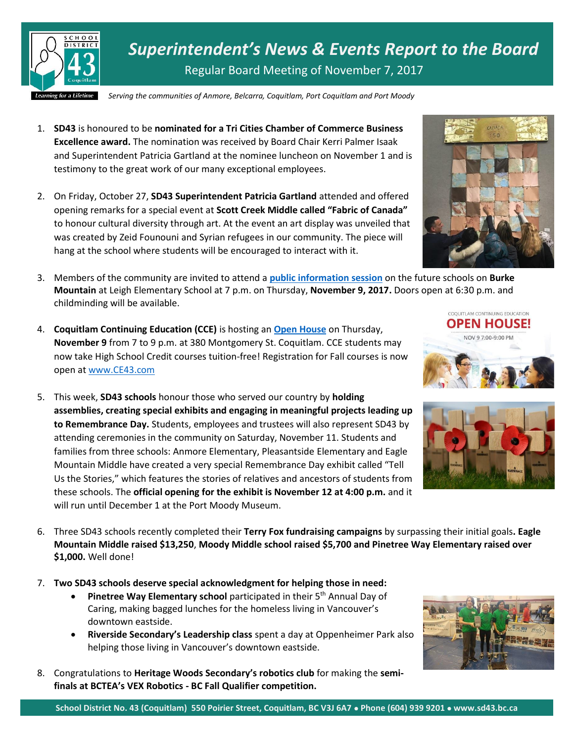

*Superintendent's News & Events Report to the Board* Regular Board Meeting of November 7, 2017

*Serving the communities of Anmore, Belcarra, Coquitlam, Port Coquitlam and Port Moody*

- 1. **SD43** is honoured to be **nominated for a Tri Cities Chamber of Commerce Business Excellence award.** The nomination was received by Board Chair Kerri Palmer Isaak and Superintendent Patricia Gartland at the nominee luncheon on November 1 and is testimony to the great work of our many exceptional employees.
- 2. On Friday, October 27, **SD43 Superintendent Patricia Gartland** attended and offered opening remarks for a special event at **Scott Creek Middle called "Fabric of Canada"** to honour cultural diversity through art. At the event an art display was unveiled that was created by Zeid Founouni and Syrian refugees in our community. The piece will hang at the school where students will be encouraged to interact with it.
- 3. Members of the community are invited to attend a **[public information session](https://www.sd43.bc.ca/Pages/newsitem.aspx?ItemID=404&ListID=ed550773-e9ff-4e20-9964-4e1b213f518c&TemplateID=Announcement_Item)** on the future schools on **Burke Mountain** at Leigh Elementary School at 7 p.m. on Thursday, **November 9, 2017.** Doors open at 6:30 p.m. and childminding will be available.
- 4. **Coquitlam Continuing Education (CCE)** is hosting an **[Open House](https://www.sd43.bc.ca/ce/Pages/Landing.aspx#MSOZoneCell_WebPartWPQ9)** on Thursday, **November 9** from 7 to 9 p.m. at 380 Montgomery St. Coquitlam. CCE students may now take High School Credit courses tuition-free! Registration for Fall courses is now open a[t www.CE43.com](http://www.ce43.com/)
- 5. This week, **SD43 schools** honour those who served our country by **holding assemblies, creating special exhibits and engaging in meaningful projects leading up to Remembrance Day.** Students, employees and trustees will also represent SD43 by attending ceremonies in the community on Saturday, November 11. Students and families from three schools: Anmore Elementary, Pleasantside Elementary and Eagle Mountain Middle have created a very special Remembrance Day exhibit called "Tell Us the Stories," which features the stories of relatives and ancestors of students from these schools. The **official opening for the exhibit is November 12 at 4:00 p.m.** and it will run until December 1 at the Port Moody Museum.
- 6. Three SD43 schools recently completed their **Terry Fox fundraising campaigns** by surpassing their initial goals**. Eagle Mountain Middle raised \$13,250**, **Moody Middle school raised \$5,700 and Pinetree Way Elementary raised over \$1,000.** Well done!
- 7. **Two SD43 schools deserve special acknowledgment for helping those in need:** 
	- **Pinetree Way Elementary school** participated in their 5<sup>th</sup> Annual Day of Caring, making bagged lunches for the homeless living in Vancouver's downtown eastside.
	- **Riverside Secondary's Leadership class** spent a day at Oppenheimer Park also helping those living in Vancouver's downtown eastside.
- 8. Congratulations to **Heritage Woods Secondary's robotics club** for making the **semifinals at BCTEA's VEX Robotics - BC Fall Qualifier competition.**







COQUITLAM CONTINUING EDUCATION **OPEN HOUSE!** NOV 9 7:00-9:00 PM